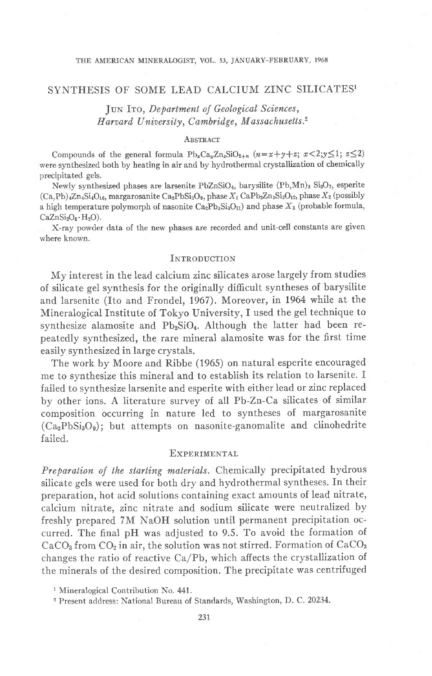## SYNTHESIS OF SOME LEAD CALCIUM ZINC SILICATES1

JUN ITO, Department of Geological Sciences, Harvard University, Cambridge, Massachusetts.<sup>2</sup>

## ABSTRACT

Compounds of the general formula  $\text{Pb}_x\text{Ca}_y\text{Ca}_y\text{SiO}_{2+n}$   $(n=x+y+z; x<2; y\leq 1; z\leq 2)$ were synthesized both by heating in air and by hydrothermal crystallization of chemically precipitated gels.

Newly synthesized phases are largenite PbZnSiO<sub>4</sub>, barysilite  $(Ph, Mn)$ <sub>3</sub> Si<sub>2</sub>O<sub>7</sub>, esperite  $(Ca, Pb)$ <sub>4</sub>Zn<sub>4</sub>Si<sub>4</sub>O<sub>16</sub>, margarosanite Ca<sub>2</sub>PbSi<sub>3</sub>O<sub>9</sub>, phase  $X_1$  CaPb<sub>2</sub>Zn<sub>3</sub>Si<sub>3</sub>O<sub>12</sub>, phase  $X_2$  (possibly a high temperature polymorph of nasonite  $Ca_2Pb_3Si_3O_{11}$  and phase  $X_3$  (probable formula,  $CaZnSi<sub>2</sub>O<sub>6</sub>·H<sub>2</sub>O$ ).

X-ray powder data of the new phases are recorded and unit-cell constants are given where known.

## INTRODUCTION

My interest in the lead calcium zinc silicates arose largely from studies of silicate gel synthesis for the originally difficult syntheses of barysilite and larsenite (Ito and Frondel, 1967). Moreover, in 1964 while at the Mineralogical Institute of Tokyo University, I used the gel technique to synthesize alamosite and Pb<sub>2</sub>SiO<sub>4</sub>. Although the latter had been repeatedly synthesized, the rare mineral alamosite was for the first time easily synthesized in large crystals.

The work by Moore and Ribbe (1965) on natural esperite encouraged me to synthesize this mineral and to establish its relation to larsenite. I failed to synthesize larsenite and esperite with either lead or zinc replaced by other ions. A literature survey of all Pb-Zn-Ca silicates of similar composition occurring in nature led to syntheses of margarosanite  $(Ca_2PbSi_3O_9)$ ; but attempts on nasonite-ganomalite and clinohedrite failed.

## **EXPERIMENTAL**

Preparation of the starting materials. Chemically precipitated hydrous silicate gels were used for both dry and hydrothermal syntheses. In their preparation, hot acid solutions containing exact amounts of lead nitrate, calcium nitrate, zinc nitrate and sodium silicate were neutralized by freshly prepared 7M NaOH solution until permanent precipitation occurred. The final pH was adjusted to 9.5. To avoid the formation of  $CaCO<sub>3</sub>$  from  $CO<sub>2</sub>$  in air, the solution was not stirred. Formation of  $CaCO<sub>3</sub>$ changes the ratio of reactive  $Ca/Pb$ , which affects the crystallization of the minerals of the desired composition. The precipitate was centrifuged

<sup>&</sup>lt;sup>1</sup> Mineralogical Contribution No. 441.

<sup>&</sup>lt;sup>2</sup> Present address: National Bureau of Standards, Washington, D. C. 20234.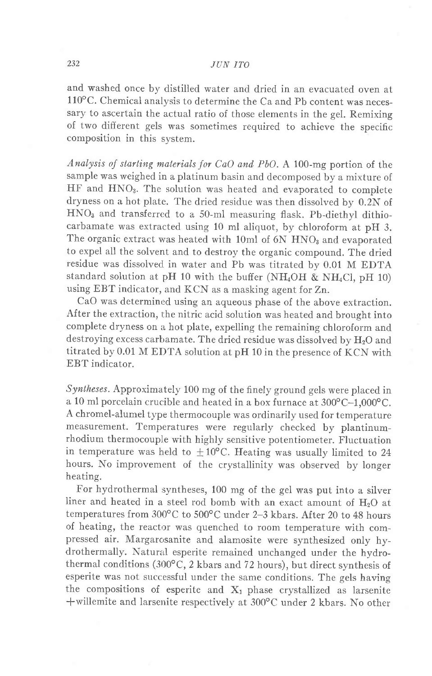and washed once by distilled water and dried in an evacuated oven at  $110^{\circ}$ C. Chemical analysis to determine the Ca and Pb content was necessary to ascertain the actual ratio of those elements in the gel. Remixing of two different gels was sometimes required to achieve the specific composition in this system.

Analysis of starting materials for CaO and PbO. A 100-mg portion of the sample was weighed in a platinum basin and decomposed by a mixture of HF and HNO<sub>3</sub>. The solution was heated and evaporated to complete dryness on a hot plate. The dried residue was then dissolved by 0.2N of  $HNO<sub>3</sub>$  and transferred to a 50-ml measuring flask. Pb-diethyl dithiocarbamate was extracted using 10 ml aliquot, by chloroform at pH 3. The organic extract was heated with 10ml of  $6N HNO<sub>3</sub>$  and evaporated to expel all the solvent and to destroy the organic compound. The dried residue was dissolved in water and Pb was titrated by 0.01 M EDTA standard solution at pH 10 with the buffer (NH<sub>4</sub>OH & NH<sub>4</sub>Cl, pH 10) using EBT indicator, and KCN as a masking agent for Zn.

CaO was determined using an aqueous phase of the above extraction. After the extraction, the nitric acid solution was heated and brought into complete dryness on a hot plate, expelling the remaining chloroform and destroying excess carbamate. The dried residue was dissolved by H<sub>2</sub>O and titrated by 0.01 M EDTA solution at pH 10 in the presence of KCN with EBT indicator.

Syntheses. Approximately 100 mg of the finely ground gels were placed in a 10 ml porcelain crucible and heated in a box furnace at  $300^{\circ}$ C-1,000°C. A chromel-alumel type thermocouple was ordinarily used for temperature measurement. Temperatures were regularly checked by plantinumrhodium thermocouple with highly sensitive potentiometer. Fluctuation in temperature was held to  $\pm 10^{\circ}$ C. Heating was usually limited to 24 hours. No improvement of the crystallinity was observed by longer heating.

For hydrothermal syntheses, 100 mg of the gel was put into a silver liner and heated in a steel rod bomb with an exact amount of  $H<sub>2</sub>O$  at temperatures from 300°C to 500°C under 2-3 kbars. After 20 to 48 hours of heating, the reactor was quenched to room temperature with compressed air. Margarosanite and alamosite were synthesized only hydrothermally. Natural esperite remained unchanged under the hydrothermal conditions (300 $^{\circ}$ C, 2 kbars and 72 hours), but direct synthesis of esperite was not successful under the same conditions. The gels having the compositions of esperite and  $X_1$  phase crystallized as larsenite + willemite and larsenite respectively at 300°C under 2 kbars. No other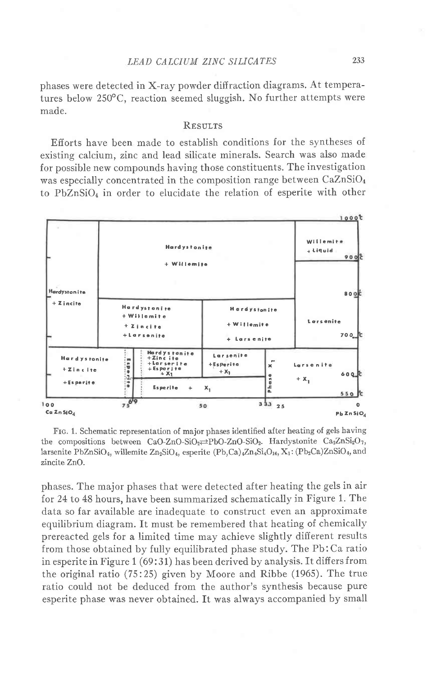phases were detected in X-ray powder diffraction diagrams. At temperatures below 250°C, reaction seemed sluggish. No further attempts were made.

## **RESULTS**

Efforts have been made to establish conditions for the syntheses of existing calcium, zinc and lead silicate minerals. Search was also made for possible new compounds having those constituents. The investigation was especially concentrated in the composition range between CaZnSiO<sub>4</sub> to PbZnSiO<sub>4</sub> in order to elucidate the relation of esperite with other



FIG. 1. Schematic representation of major phases identified after heating of gels having the compositions between CaO-ZnO-SiO<sub>2</sub> $\rightleftharpoons$ PbO-ZnO-SiO<sub>2</sub>. Hardystonite Ca<sub>2</sub>ZnSi<sub>2</sub>O<sub>7</sub>, larsenite PbZnSiO<sub>4</sub>, willemite Zn<sub>2</sub>SiO<sub>4</sub>, esperite  $(Pb,Ca)$ <sub>4</sub>Zn<sub>4</sub>Si<sub>4</sub>O<sub>16</sub>, X<sub>1</sub>:  $(Pb_2Ca)ZnSiO_4$ , and zincite ZnO.

phases. The major phases that were detected after heating the gels in air for 24 to 48 hours, have been summarized schematically in Figure 1. The data so far available are inadequate to construct even an approximate equilibrium diagram. It must be remembered that heating of chemically prereacted gels for a limited time may achieve slightly different results from those obtained by fully equilibrated phase study. The Pb: Ca ratio in esperite in Figure 1 (69:31) has been derived by analysis. It differs from the original ratio  $(75:25)$  given by Moore and Ribbe  $(1965)$ . The true ratio could not be deduced from the author's synthesis because pure esperite phase was never obtained. It was always accompanied by small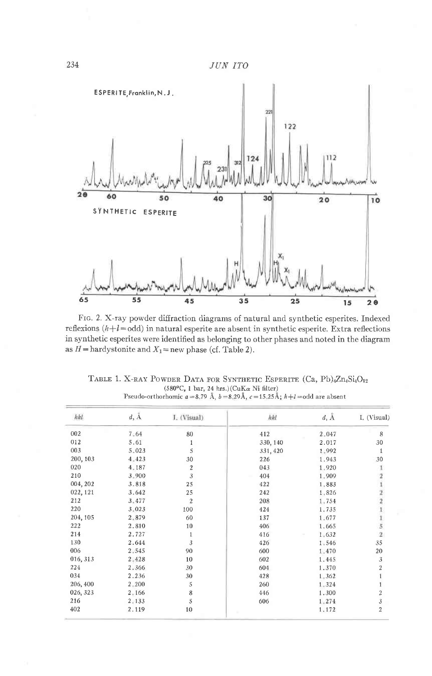

FIG. 2. X-ray powder diffraction diagrams of natural and synthetic esperites. Indexed reflexions  $(h+l=odd)$  in natural esperite are absent in synthetic esperite. Extra reflections in synthetic esperites were identified as belonging to other phases and noted in the diagram as  $H =$ hardystonite and  $X_1 =$ new phase (cf. Table 2).

|  |  |                                                                                                                        |  | TABLE 1. X-RAY POWDER DATA FOR SYNTHETIC ESPERITE $(Ca, Pb)$ <sub>4</sub> Zn <sub>4</sub> Si <sub>4</sub> O <sub>12</sub> |  |
|--|--|------------------------------------------------------------------------------------------------------------------------|--|---------------------------------------------------------------------------------------------------------------------------|--|
|  |  | $(580^{\circ}C, 1 \text{ bar}, 24 \text{ hrs.})$ (CuK $\alpha$ Ni filter)                                              |  |                                                                                                                           |  |
|  |  | Pseudo-orthorhomic $a = 8.79 \text{ Å}$ $b = 8.29 \text{ Å}$ , $c = 15.25 \text{ Å}$ ; $h + l = \text{odd}$ are absent |  |                                                                                                                           |  |

| hkl      | $d, \, \mathring{\text{A}}$ | I. (Visual) | hkl      | $d, \mathring{A}$ | I. (Visual)                                       |
|----------|-----------------------------|-------------|----------|-------------------|---------------------------------------------------|
| 002      | 7:64                        | 80          | 412      | $2 - 047$         | 8                                                 |
| 012      | 5.61                        | 1           | 330, 140 | 2.017             | 30                                                |
| 003      | 5.023                       | 5           | 331, 420 | 1.992             | 1                                                 |
| 200, 103 | 4.423                       | 30          | 226      | 1.943             | 30                                                |
| 020      | 4.187                       | $\sqrt{2}$  | 043      | 1,920             |                                                   |
| 210      | 3.900                       | 3           | 404      | 1.909             |                                                   |
| 004, 202 | 3.818                       | 25          | 422      | 1.883             |                                                   |
| 022, 121 | 3.642                       | 25          | 242      | 1.826             | $\begin{array}{c}\n2 \\ 2 \\ 1 \\ 5\n\end{array}$ |
| 212      | 3.477                       | $\sqrt{2}$  | 208      | 1.754             |                                                   |
| 220      | 3.023                       | 100         | 424      | 1.735             |                                                   |
| 204, 105 | 2.879                       | 60          | 137      | $1 - 677$         |                                                   |
| 222      | 2.810                       | 10          | 406      | 1.665             |                                                   |
| 214      | 2.727                       | 1           | 416      | 1.632             | $\overline{2}$                                    |
| 130      | 2.644                       | 3           | 426      | 1.546             | 35                                                |
| 006      | 2.545                       | 90          | 600      | 1.470             | 20                                                |
| 016, 313 | 2.428                       | 10          | 602      | 1.445             | $\sqrt{3}$                                        |
| 224      | 2.366                       | 30          | 604      | 1.370             | $\overline{a}$                                    |
| 034      | 2.236                       | 30          | 428      | 1,362             |                                                   |
| 206, 400 | $2 - 200$                   | 5           | 260      | 1.324             |                                                   |
| 026, 323 | $2 - 166$                   | 8           | 446      | 1.300             |                                                   |
| 216      | $2 - 133$                   | 5           | 606      | 1.274             | $\frac{2}{3}$                                     |
| 402      | 2.119                       | 10          |          | 1,172             | $\overline{2}$                                    |

234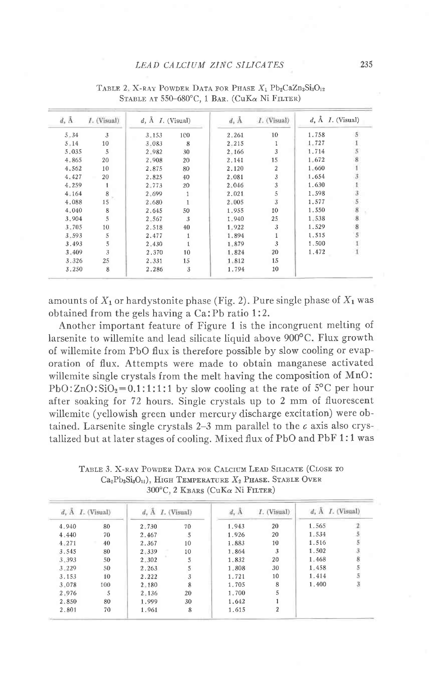| d, A     | <i>I.</i> (Visual) | $d, \tilde{A}$ <i>I.</i> (Visual) |     | $d_i$ A | $I.$ (Visual) | $d, \tilde{A}$ <i>I.</i> (Visual) |   |
|----------|--------------------|-----------------------------------|-----|---------|---------------|-----------------------------------|---|
| $5 - 34$ | 3                  | 3.153                             | 100 | 2.261   | 10            | 1.758                             |   |
| $5 - 14$ | 10                 | 3.083                             | 8   | 2.215   |               | 1,727                             |   |
| 5.035    | 5                  | 2.982                             | 30  | 2,166   | 3             | 1,714                             |   |
| 4.865    | 20                 | 2.908                             | 20  | 2.141   | 15            | 1.672                             |   |
| 4.562    | 10                 | 2.875                             | 80  | 2.120   | 2             | 1.660                             |   |
| 4.427    | 20                 | 2.825                             | 40  | 2.081   | 3             | 1.654                             |   |
| 4.259    |                    | 2.773                             | 20  | 2.046   | 3             | 1.630                             |   |
| 4.164    | 8                  | 2.699                             |     | 2.021   | 5             | 1.598                             |   |
| 4.088    | 15                 | 2.680                             |     | 2.005   | 3             | 1.577                             |   |
| 4.040    | 8                  | 2.645                             | 50  | 1.955   | 10            | 1.550                             | 8 |
| 3.904    | 5                  | 2.567                             | 3   | 1,940   | 25            | 1.538                             | 8 |
| 3.705    | 10                 | 2.518                             | 40  | 1.922   | 3             | 1.529                             |   |
| 3.593    | 5                  | 2.477                             | 1   | 1.894   |               | 1.515                             |   |
| 3,493    | 5                  | 2.430                             |     | 1.879   | 3             | 1.500                             |   |
| 3.409    | 3                  | 2.370                             | 10  | 1.824   | 20            | 1.472                             |   |
| 3.326    | 25                 | 2.331                             | 15  | 1.812   | 15            |                                   |   |
| 3.250    | 8                  | 2.286                             | 3   | 1.794   | 10            |                                   |   |

TABLE 2. X-RAY POWDER DATA FOR PHASE  $X_1$  Pb<sub>2</sub>CaZn<sub>3</sub>Si<sub>3</sub>O<sub>12</sub> STABLE AT 550-680°C, 1 BAR. (CuKa Ni FILTER)

amounts of  $X_1$  or hardystonite phase (Fig. 2). Pure single phase of  $X_1$  was obtained from the gels having a Ca: Pb ratio 1:2.

Another important feature of Figure 1 is the incongruent melting of larsenite to willemite and lead silicate liquid above 900°C. Flux growth of willemite from PbO flux is therefore possible by slow cooling or evaporation of flux. Attempts were made to obtain manganese activated willemite single crystals from the melt having the composition of MnO: PbO:  $ZnO:SiO<sub>2</sub>=0.1:1:1:1$  by slow cooling at the rate of 5°C per hour after soaking for 72 hours. Single crystals up to 2 mm of fluorescent willemite (yellowish green under mercury discharge excitation) were obtained. Larsenite single crystals  $2-3$  mm parallel to the  $c$  axis also crystallized but at later stages of cooling. Mixed flux of PbO and PbF 1:1 was

| $d$ , A $I$ . (Visual)<br>$d$ , $A$ $I$ . (Visual) | d, A        | I. (Visual) | $d, A, I.$ (Visual) |  |
|----------------------------------------------------|-------------|-------------|---------------------|--|
| 80<br>2.730                                        | 1.943<br>70 | 20          | 1.565               |  |
| 70<br>2.467                                        | 1.926<br>5  | 20          | 1.534               |  |
| 40<br>2.367                                        | 1.883<br>10 | 10          | 1.516               |  |
| 80<br>2.339                                        | 1.864<br>10 | 3           | 1.502               |  |
| 50<br>$2 - 302$                                    | 5<br>1.832  | 20          | 1.468               |  |
| 50<br>2.263                                        | 5<br>1.808  | 30          | 1.458               |  |
| 10<br>2.222                                        | 3<br>1.721  | 10          | 1.414               |  |
| 100<br>$2 - 180$                                   | 8<br>1.705  | 8           | 1.400               |  |
| 5<br>2.136                                         | 1.700<br>20 | 5           |                     |  |
| 80<br>1.999                                        | 1.642<br>30 |             |                     |  |
| 70<br>1.961                                        | 8<br>1.615  | 2           |                     |  |

TABLE 3. X-RAY POWDER DATA FOR CALCIUM LEAD SILICATE (CLOSE TO  $Ca_2Pb_3Si_3O_{11}$ , HIGH TEMPERATURE  $X_2$  PHASE. STABLE OVER 300°C, 2 KBARS (CuKa Ni FILTER)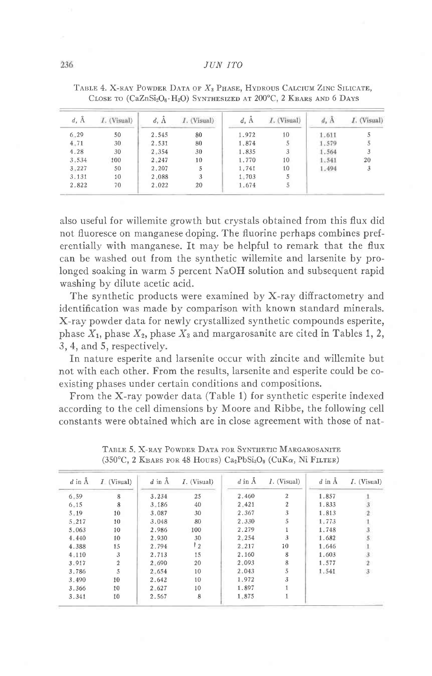#### JUN ITO

| $d, \tilde{A}$ | <i>I.</i> (Visual) | $d.$ A | Visual) | d, A  | I. (Visual) | $d, \tilde{A}$ | I. (Visual) |
|----------------|--------------------|--------|---------|-------|-------------|----------------|-------------|
| 6.29           | 50                 | 2.545  | 80      | 1.972 | 10          | 1.611          |             |
| 4.71           | 30                 | 2.531  | 80      | 1.874 | 5           | 1.579          |             |
| 4.28           | 30                 | 2.354  | 30      | 1.835 | 3           | 1.564          |             |
| 3.534          | 100                | 2.247  | 10      | 1.770 | 10          | 1.541          | 20          |
| 3.227          | 50                 | 2.207  | 5       | 1.741 | 10          | 1.494          |             |
| 3.131          | 10                 | 2.088  | 3       | 1.703 | 5           |                |             |
| 2.822          | 70                 | 2.022  | 20      | 1.674 | 5           |                |             |

TABLE 4. X-RAY POWDER DATA OF X<sub>3</sub> PHASE, HYDROUS CALCIUM ZINC SILICATE, CLOSE TO (CaZnSi<sub>2</sub>O<sub>6</sub>·H<sub>2</sub>O) SYNTHESIZED AT 200°C, 2 KBARS AND 6 DAYS

also useful for willemite growth but crystals obtained from this flux did not fluoresce on manganese doping. The fluorine perhaps combines preferentially with manganese. It may be helpful to remark that the flux can be washed out from the synthetic willemite and larsenite by prolonged soaking in warm 5 percent NaOH solution and subsequent rapid washing by dilute acetic acid.

The synthetic products were examined by X-ray diffractometry and identification was made by comparison with known standard minerals. X-ray powder data for newly crystallized synthetic compounds esperite, phase  $X_1$ , phase  $X_2$ , phase  $X_3$  and margarosanite are cited in Tables 1, 2, 3, 4, and 5, respectively.

In nature esperite and larsenite occur with zincite and willemite but not with each other. From the results, larsenite and esperite could be coexisting phases under certain conditions and compositions.

From the X-ray powder data (Table 1) for synthetic esperite indexed according to the cell dimensions by Moore and Ribbe, the following cell constants were obtained which are in close agreement with those of nat-

| $d$ in $\AA$ | $I$ (Visual)   | $d$ in $A$ | <i>I</i> . (Visual) | $d$ in $A$ | $I.$ (Visual)  | $d$ in $A$ | $I.$ (Visual) |
|--------------|----------------|------------|---------------------|------------|----------------|------------|---------------|
| 6.59         | 8              | 3.234      | 25                  | 2.460      | 2              | 1.857      |               |
| $6 - 15$     | 8              | $3 - 186$  | 40                  | 2.421      | $\overline{2}$ | 1.833      |               |
| $5 - 19$     | 10             | 3.087      | 30                  | 2.367      | 3              | 1.813      |               |
| $5 - 217$    | 10             | 3.048      | 80                  | 2.330      | 5              | 1.773      |               |
| 5.063        | 10             | 2.986      | 100                 | 2.279      |                | 1.748      |               |
| 4.440        | 10             | 2.930      | 30                  | 2.254      | 3              | 1.682      |               |
| 4.388        | 15             | 2.794      | l 2                 | $2 - 217$  | 10             | 1.646      |               |
| 4.110        | 3              | 2.713      | 15                  | 2,160      | 8              | 1.603      | 3.            |
| 3.917        | $\overline{2}$ | 2.690      | 20                  | 2.093      | 8              | 1.577      | $\mathcal{P}$ |
| 3.786        | 5              | 2.654      | 10                  | 2.043      | 5              | 1,541      | $\mathbf{3}$  |
| 3.490        | 10             | 2.642      | 10                  | 1,972      | 3              |            |               |
| 3.366        | 10             | $2 - 627$  | 10                  | 1.897      |                |            |               |
| 3.341        | 10             | 2.567      | 8                   | 1.875      |                |            |               |

TABLE 5. X-RAY POWDER DATA FOR SYNTHETIC MARGAROSANITE (350°C, 2 KBARS FOR 48 HOURS)  $Ca<sub>2</sub>PbSi<sub>3</sub>O<sub>9</sub>$  (CuK $\alpha$ , Ni FILTER)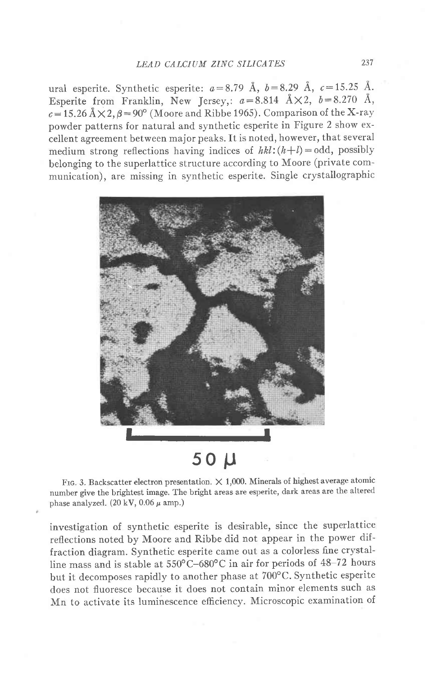ural esperite. Synthetic esperite:  $a=8.79$  Å,  $b=8.29$  Å,  $c=15.25$  Å. Esperite from Franklin, New Jersey,:  $a=8.814$   $\text{\AA} \times 2$ ,  $b=8.270$   $\text{\AA}$ ,  $c=15.26$   $\AA \times 2$ ,  $\beta = 90^{\circ}$  (Moore and Ribbe 1965). Comparison of the X-ray powder patterns for natural and synthetic esperite in Figure 2 show excellent agreement between major peaks. It is noted, however, that several medium strong reflections having indices of  $hkl:(h+l)=odd$ , possibly belonging to the superlattice structure according to Moore (private communication), are missing in synthetic esperite. Single crystallographic



# 50 U

FIG. 3. Backscatter electron presentation.  $\times$  1,000. Minerals of highest average atomic number give the brightest image. The bright areas are esperite, dark areas are the altered phase analyzed.  $(20 \text{ kV}, 0.06 \mu \text{ amp.})$ 

investigation of synthetic esperite is desirable, since the superlattice reflections noted by Moore and Ribbe did not appear in the power diffraction diagram. Synthetic esperite came out as a colorless fine crystalline mass and is stable at  $550^{\circ}$ C-680°C in air for periods of 48-72 hours but it decomposes rapidly to another phase at 700"C. Synthetic esperite does not fluoresce because it does not contain minor elements such as Mn to activate its luminescence efficiency. Microscopic examination of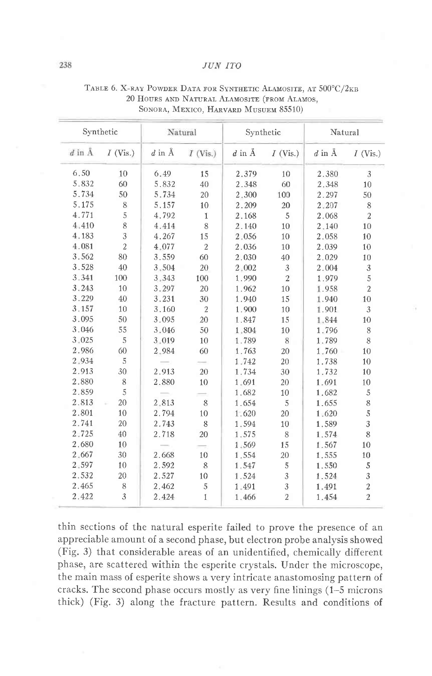#### JUN ITO

|              | Synthetic      | Natural  |                |              |                | Synthetic    |                  | Natural |  |  |
|--------------|----------------|----------|----------------|--------------|----------------|--------------|------------------|---------|--|--|
| $d$ in $\AA$ | $I$ (Vis.)     | $d$ in Å | $I$ (Vis.)     | $d$ in $\AA$ | $I$ (Vis.)     | $d$ in $\AA$ | $I$ (Vis.)       |         |  |  |
| 6.50         | 10             | 6.49     | 15             | 2.379        | 10             | 2.380        | 3                |         |  |  |
| 5.832        | 60             | 5.832    | 40             | 2.348        | 60             | 2.348        | 10               |         |  |  |
| 5.734        | 50             | 5.734    | 20             | 2.300        | 100            | 2.297        | 50               |         |  |  |
| 5.175        | 8              | 5.157    | 10             | 2.209        | 20             | 2.207        | 8                |         |  |  |
| 4.771        | 5              | 4.792    | 1              | 2.168        | 5              | 2.068        | $\overline{2}$   |         |  |  |
| 4.410        | 8              | 4.414    | 8              | 2.140        | 10             | 2.140        | 10               |         |  |  |
| 4.183        | 3              | 4.267    | 15             | 2.056        | 10             | 2.058        | 10               |         |  |  |
| 4.081        | $\overline{2}$ | 4.077    | $\overline{2}$ | 2.036        | 10             | 2.039        | 10               |         |  |  |
| 3.562        | 80             | 3.559    | 60             | 2.030        | 40             | 2.029        | 10               |         |  |  |
| 3.528        | 40             | 3.504    | 20             | 2.002        | 3              | 2.004        | 3                |         |  |  |
| 3.341        | 100            | 3.343    | 100            | 1.990        | $\overline{2}$ | 1.979        | 5                |         |  |  |
| 3.243        | 10             | 3.297    | 20             | 1.962        | 10             | 1.958        | $\overline{2}$   |         |  |  |
| 3.229        | 40             | 3.231    | 30             | 1.940        | 15             | 1.940        | 10               |         |  |  |
| 3.157        | 10             | 3.160    | $\overline{2}$ | 1.900        | 10             | 1.901        | 3                |         |  |  |
| 3.095        | 50             | 3.095    | 20             | 1,847        | 15             | 1.844        | 10               |         |  |  |
| 3.046        | 55             | 3.046    | 50             | 1.804        | 10             | 1.796        | 8                |         |  |  |
| 3.025        | 5              | 3.019    | 10             | 1.789        | 8              | 1.789        | 8                |         |  |  |
| 2.986        | 60             | 2.984    | 60             | 1.763        | 20             | 1.760        | 10               |         |  |  |
| 2.934        | 5              |          |                | 1.742        | 20             | 1.738        | 10               |         |  |  |
| 2.913        | 30             | 2.913    | 20             | 1.734        | 30             | 1.732        | 10               |         |  |  |
| 2.880        | 8              | 2.880    | 10             | 1.691        | 20             | 1,691        | 10               |         |  |  |
| 2.859        | 5              |          |                | 1.682        | 10             | 1.682        | 5                |         |  |  |
| 2.813        | 20             | 2.813    | 8              | 1.654        | 5              | 1.655        | 8                |         |  |  |
| 2.801        | 10             | 2.794    | 10             | 1.620        | 20             | 1.620        | 5                |         |  |  |
| 2.741        | 20             | 2.743    | 8              | 1.594        | 10             | 1.589        | 3                |         |  |  |
| 2.725        | 40             | 2.718    | 20             | 1.575        | 8              | 1.574        | 8                |         |  |  |
| 2.680        | 10             |          |                | 1.569        | 15             | 1.567        | 10               |         |  |  |
| 2.667        | 30             | 2.668    | 10             | 1.554        | 20             | 1.555        | 10               |         |  |  |
| 2.597        | 10             | 2.592    | 8              | 1.547        | 5              | 1.550        | 5                |         |  |  |
| 2.532        | 20             | 2.527    | 10             | 1.524        | 3              | 1.524        | 3                |         |  |  |
| 2.465        | 8              | 2.462    | 5              | 1.491        | 3              | 1.491        | $\boldsymbol{2}$ |         |  |  |
| 2.422        | 3              | 2.424    | $\mathbf{1}$   | 1.466        | $\overline{2}$ | 1.454        | $\overline{2}$   |         |  |  |

TABLE 6. X-RAY POWDER DATA FOR SYNTHETIC ALAMOSITE, AT 500°C/2KB 20 HOURS AND NATURAL ALAMOSITE (FROM ALAMOS, SONORA, MEXICO, HARVARD MUSUEM 85510)

thin sections of the natural esperite failed to prove the presence of an appreciable amount of a second phase, but electron probe analysis showed (Fig. 3) that considerable areas of an unidentified, chemically different phase, are scattered within the esperite crystals. Under the microscope, the main mass of esperite shows a very intricate anastomosing pattern of cracks. The second phase occurs mostly as very fine linings (1–5 microns) thick) (Fig. 3) along the fracture pattern. Results and conditions of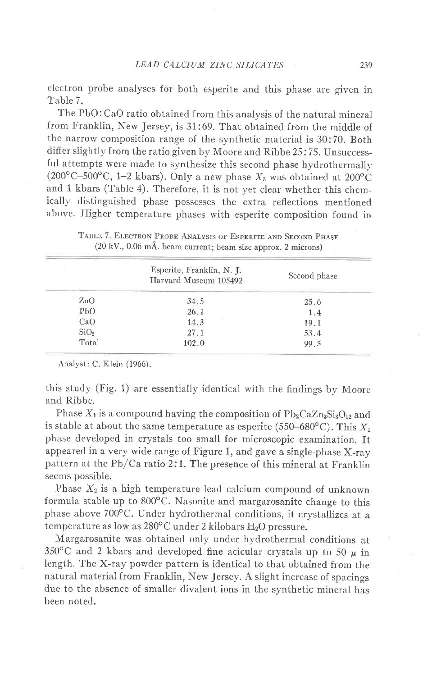electron probe analyses for both esperite and this phase are given in 'Iable 7.

The PbO: CaO ratio obtained from this analysis of the natural mineral from Franklin, New Jersey, is 31:69. That obtained from the middle of the narrow composition range of the synthetic material is 30:70. Both differ slightly from the ratio given by Moore and Ribbe 25:75. Unsuccessful attempts were made to synthesize this second phase hydrothermally. (200°C-500°C, 1-2 kbars). Only a new phase  $X_3$  was obtained at 200°C and l kbars (Table 4). Therefore, it is not yet clear whether this chemically distinguished phase possesses the extra reflections mentioned above. Higher temperature phases with esperite composition found in

|                  | Esperite, Franklin, N. J.<br>Harvard Museum 105492 | Second phase |
|------------------|----------------------------------------------------|--------------|
| $\rm ZnO$        | 34.5                                               | 25.6         |
| PbO              | 26.1                                               | 1.4          |
| CaO              | 14.3                                               | 19.1         |
| SiO <sub>2</sub> | 27.1                                               | 53.4         |
| Total            | 102.0                                              | 99.5         |

TABLE 7. ELECTRON PROBE ANALYSIS OF ESPERITE AND SECOND PHASE (20 kV., 0.06 mA. beam current; beam size approx. 2 microns)

Analyst: C. Klein (1966).

this study (Fig. 1) are essentially identical with the findings by Moore and Ribbe.

Phase  $X_1$  is a compound having the composition of  $Pb_2CaZn_3Si_3O_{12}$  and is stable at about the same temperature as esperite (550–680°C). This  $X_1$ phase developed in crystals too small for microscopic examination. It appeared in a very wide range of Figure 1, and gave a single-phase X-ray pattern at the Pb/Ca ratio 2:1. The presence of this mineral at Franklin seems possible.

Phase  $X_2$  is a high temperature lead calcium compound of unknown formula stable up to  $800^{\circ}$ C. Nasonite and margarosanite change to this phase above 700°C. Under hydrothermal conditions, it crystallizes at a temperature as low as  $280^{\circ}$ C under 2 kilobars  $H_2O$  pressure.

Margarosanite was obtained only under hydrothermal conditions at 350°C and 2 kbars and developed fine acicular crystals up to 50  $\mu$  in length. The X-ray powder pattern is identical to that obtained from the natural material from Franklin, New Jersey. A slight increase of spacings due to the absence of smaller divalent ions in the synthetic mineral has been noted.